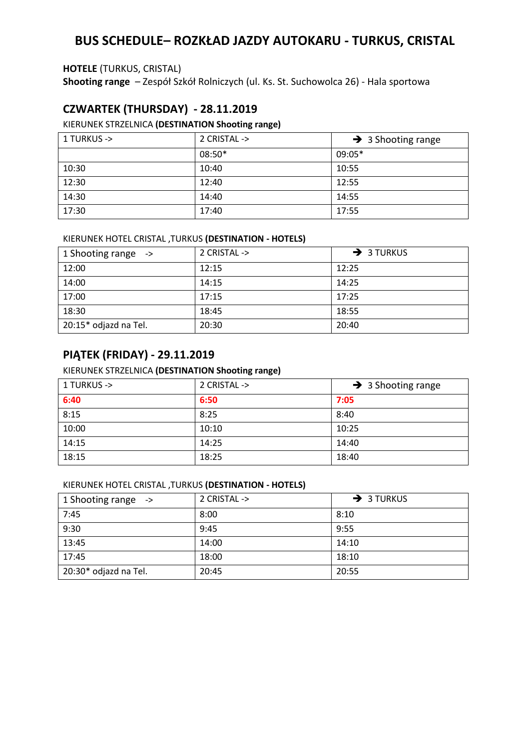# **BUS SCHEDULE– ROZKŁAD JAZDY AUTOKARU - TURKUS, CRISTAL**

### **HOTELE** (TURKUS, CRISTAL)

**Shooting range** – Zespół Szkół Rolniczych (ul. Ks. St. Suchowolca 26) - Hala sportowa

## **CZWARTEK (THURSDAY) - 28.11.2019**

## KIERUNEK STRZELNICA **(DESTINATION Shooting range)**

| 1 TURKUS -> | 2 CRISTAL -> | $\rightarrow$ 3 Shooting range |
|-------------|--------------|--------------------------------|
|             | 08:50*       | $09:05*$                       |
| 10:30       | 10:40        | 10:55                          |
| 12:30       | 12:40        | 12:55                          |
| 14:30       | 14:40        | 14:55                          |
| 17:30       | 17:40        | 17:55                          |

### KIERUNEK HOTEL CRISTAL ,TURKUS **(DESTINATION - HOTELS)**

| 1 Shooting range ->   | 2 CRISTAL -> | $\rightarrow$ 3 TURKUS |
|-----------------------|--------------|------------------------|
| 12:00                 | 12:15        | 12:25                  |
| 14:00                 | 14:15        | 14:25                  |
| 17:00                 | 17:15        | 17:25                  |
| 18:30                 | 18:45        | 18:55                  |
| 20:15* odjazd na Tel. | 20:30        | 20:40                  |

## **PIĄTEK (FRIDAY) - 29.11.2019**

### KIERUNEK STRZELNICA **(DESTINATION Shooting range)**

| 1 TURKUS -> | 2 CRISTAL -> | $\rightarrow$ 3 Shooting range |
|-------------|--------------|--------------------------------|
| 6:40        | 6:50         | 7:05                           |
| 8:15        | 8:25         | 8:40                           |
| 10:00       | 10:10        | 10:25                          |
| 14:15       | 14:25        | 14:40                          |
| 18:15       | 18:25        | 18:40                          |

### KIERUNEK HOTEL CRISTAL ,TURKUS **(DESTINATION - HOTELS)**

| 1 Shooting range ->   | 2 CRISTAL -> | $\rightarrow$ 3 TURKUS |
|-----------------------|--------------|------------------------|
| 7:45                  | 8:00         | 8:10                   |
| 9:30                  | 9:45         | 9:55                   |
| 13:45                 | 14:00        | 14:10                  |
| 17:45                 | 18:00        | 18:10                  |
| 20:30* odjazd na Tel. | 20:45        | 20:55                  |